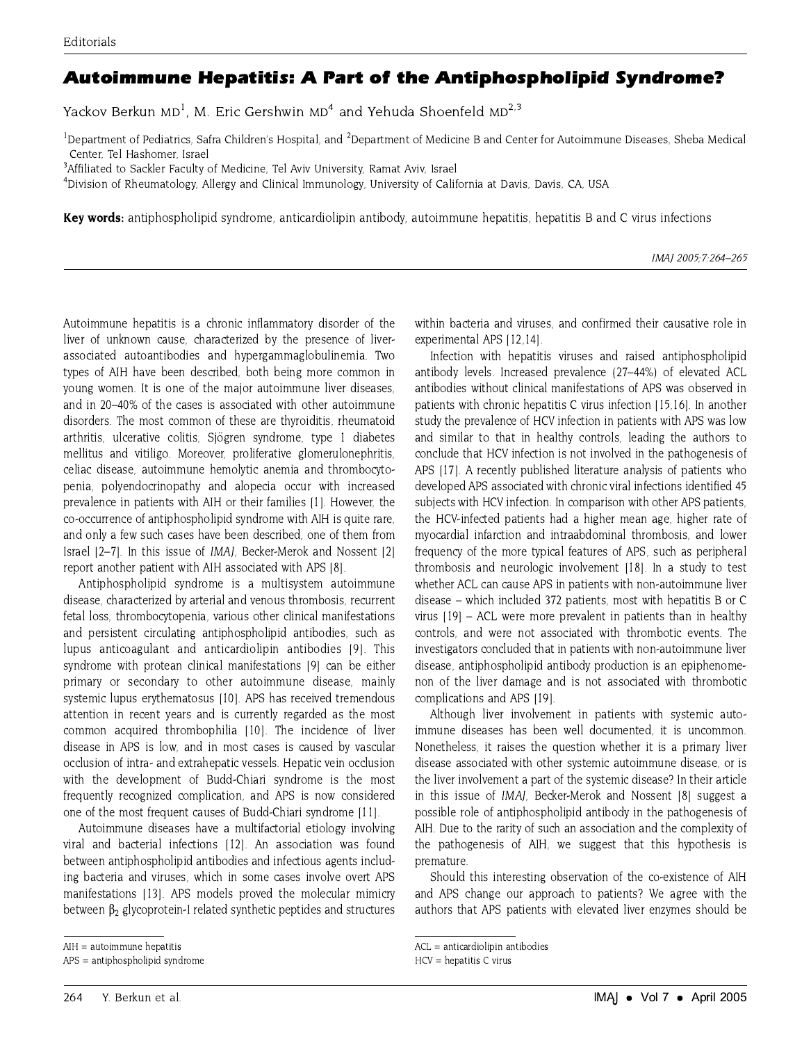## Autoimmune Hepatitis: A Part of the Antiphospholipid Syndrome?

Yackov Berkun MD<sup>1</sup>, M. Eric Gershwin MD<sup>4</sup> and Yehuda Shoenfeld MD<sup>2,3</sup>

<sup>1</sup>Department of Pediatrics, Safra Children's Hospital, and <sup>2</sup>Department of Medicine B and Center for Autoimmune Diseases, Sheba Medical Center, Tel Hashomer, Israel

<sup>3</sup>Affiliated to Sackler Faculty of Medicine, Tel Aviv University, Ramat Aviv, Israel

<sup>4</sup>Division of Rheumatology, Allergy and Clinical Immunology, University of California at Davis, Davis, CA, USA

Key words: antiphospholipid syndrome, anticardiolipin antibody, autoimmune hepatitis, hepatitis B and C virus infections

Autoimmune hepatitis is a chronic inflammatory disorder of the liver of unknown cause, characterized by the presence of liverassociated autoantibodies and hypergammaglobulinemia. Two types of AIH have been described, both being more common in young women. It is one of the major autoimmune liver diseases, and in 20-40% of the cases is associated with other autoimmune disorders. The most common of these are thyroiditis, rheumatoid arthritis, ulcerative colitis, Siögren syndrome, type 1 diabetes mellitus and vitiligo. Moreover, proliferative glomerulonephritis, celiac disease, autoimmune hemolytic anemia and thrombocytopenia, polyendocrinopathy and alopecia occur with increased prevalence in patients with AIH or their families [1]. However, the co-occurrence of antiphospholipid syndrome with AIH is quite rare. and only a few such cases have been described, one of them from Israel [2-7]. In this issue of IMAJ, Becker-Merok and Nossent [2] report another patient with AIH associated with APS [8].

Antiphospholipid syndrome is a multisystem autoimmune disease, characterized by arterial and venous thrombosis, recurrent fetal loss, thrombocytopenia, various other clinical manifestations and persistent circulating antiphospholipid antibodies, such as lupus anticoagulant and anticardiolipin antibodies [9]. This syndrome with protean clinical manifestations [9] can be either primary or secondary to other autoimmune disease, mainly systemic lupus erythematosus [10]. APS has received tremendous attention in recent years and is currently regarded as the most common acquired thrombophilia [10]. The incidence of liver disease in APS is low, and in most cases is caused by vascular occlusion of intra- and extrahepatic vessels. Hepatic vein occlusion with the development of Budd-Chiari syndrome is the most frequently recognized complication, and APS is now considered one of the most frequent causes of Budd-Chiari syndrome [11].

Autoimmune diseases have a multifactorial etiology involving viral and bacterial infections [12]. An association was found between antiphospholipid antibodies and infectious agents including bacteria and viruses, which in some cases involve overt APS manifestations [13]. APS models proved the molecular mimicry between  $\beta_2$  glycoprotein-I related synthetic peptides and structures within bacteria and viruses, and confirmed their causative role in experimental APS [12,14].

Infection with hepatitis viruses and raised antiphospholipid antibody levels. Increased prevalence (27-44%) of elevated ACL antibodies without clinical manifestations of APS was observed in patients with chronic hepatitis C virus infection [15,16]. In another study the prevalence of HCV infection in patients with APS was low and similar to that in healthy controls, leading the authors to conclude that HCV infection is not involved in the pathogenesis of APS [17]. A recently published literature analysis of patients who developed APS associated with chronic viral infections identified 45 subjects with HCV infection. In comparison with other APS patients, the HCV-infected patients had a higher mean age, higher rate of myocardial infarction and intraabdominal thrombosis, and lower frequency of the more typical features of APS, such as peripheral thrombosis and neurologic involvement [18]. In a study to test whether ACL can cause APS in patients with non-autoimmune liver disease – which included 372 patients, most with hepatitis B or C virus  $[19]$  – ACL were more prevalent in patients than in healthy controls, and were not associated with thrombotic events. The investigators concluded that in patients with non-autoimmune liver disease, antiphospholipid antibody production is an epiphenomenon of the liver damage and is not associated with thrombotic complications and APS [19].

Although liver involvement in patients with systemic autoimmune diseases has been well documented, it is uncommon. Nonetheless, it raises the question whether it is a primary liver disease associated with other systemic autoimmune disease, or is the liver involvement a part of the systemic disease? In their article in this issue of *IMAI*, Becker-Merok and Nossent [8] suggest a possible role of antiphospholipid antibody in the pathogenesis of AIH. Due to the rarity of such an association and the complexity of the pathogenesis of AIH, we suggest that this hypothesis is premature.

Should this interesting observation of the co-existence of AIH and APS change our approach to patients? We agree with the authors that APS patients with elevated liver enzymes should be

IMAI 2005: 7:264-265

AIH = autoimmune hepatitis

APS = antiphospholipid syndrome

 $ACL = anticardiolipin antibodies$ 

 $HCV = hepatitis C virus$